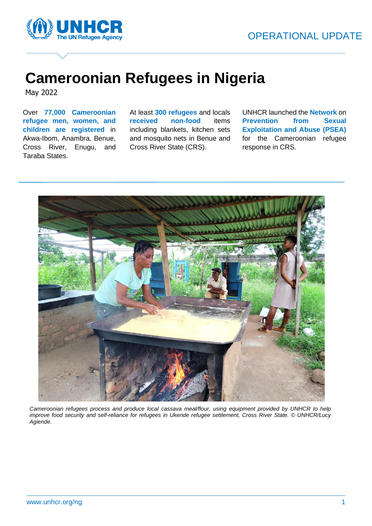

# **Cameroonian Refugees in Nigeria**

May 2022

Over **77,000 Cameroonian refugee men, women, and children are registered** in Akwa-Ibom, Anambra, Benue, Cross River, Enugu, and Taraba States.

At least **300 refugees** and locals **received non-food** items including blankets, kitchen sets and mosquito nets in Benue and Cross River State (CRS).

UNHCR launched the **Network** on **Prevention from Sexual Exploitation and Abuse (PSEA)** for the Cameroonian refugee response in CRS.



*Cameroonian refugees process and produce local cassava meal/flour, using equipment provided by UNHCR to help improve food security and self-reliance for refugees in Ukende refugee settlement, Cross River State. © UNHCR/Lucy Agiende.*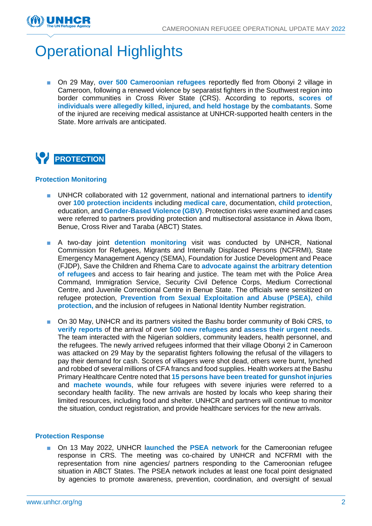

## Operational Highlights

■ On 29 May, **over 500 Cameroonian refugees** reportedly fled from Obonyi 2 village in Cameroon, following a renewed violence by separatist fighters in the Southwest region into border communities in Cross River State (CRS). According to reports, **scores of individuals were allegedly killed, injured, and held hostage** by the **combatants**. Some of the injured are receiving medical assistance at UNHCR-supported health centers in the State. More arrivals are anticipated.

## **PROTECTION**

#### **Protection Monitoring**

- UNHCR collaborated with 12 government, national and international partners to **identify** over **100 protection incidents** including **medical care**, documentation, **child protection**, education, and **Gender-Based Violence (GBV)**. Protection risks were examined and cases were referred to partners providing protection and multisectoral assistance in Akwa Ibom, Benue, Cross River and Taraba (ABCT) States.
- A two-day joint **detention monitoring** visit was conducted by UNHCR, National Commission for Refugees, Migrants and Internally Displaced Persons (NCFRMI), State Emergency Management Agency (SEMA), Foundation for Justice Development and Peace (FJDP), Save the Children and Rhema Care to **advocate against the arbitrary detention of refugee**s and access to fair hearing and justice. The team met with the Police Area Command, Immigration Service, Security Civil Defence Corps, Medium Correctional Centre, and Juvenile Correctional Centre in Benue State. The officials were sensitized on refugee protection, **Prevention from Sexual Exploitation and Abuse (PSEA)**, **child protection,** and the inclusion of refugees in National Identity Number registration.
- On 30 May, UNHCR and its partners visited the Bashu border community of Boki CRS, to **verify reports** of the arrival of over **500 new refugees** and **assess their urgent needs**. The team interacted with the Nigerian soldiers, community leaders, health personnel, and the refugees. The newly arrived refugees informed that their village Obonyi 2 in Cameroon was attacked on 29 May by the separatist fighters following the refusal of the villagers to pay their demand for cash. Scores of villagers were shot dead, others were burnt, lynched and robbed of several millions of CFA francs and food supplies. Health workers at the Bashu Primary Healthcare Centre noted that **15 persons have been treated for gunshot injuries** and **machete wounds**, while four refugees with severe injuries were referred to a secondary health facility. The new arrivals are hosted by locals who keep sharing their limited resources, including food and shelter. UNHCR and partners will continue to monitor the situation, conduct registration, and provide healthcare services for the new arrivals.

#### **Protection Response**

■ On 13 May 2022, UNHCR l**aunched** the **PSEA network** for the Cameroonian refugee response in CRS. The meeting was co-chaired by UNHCR and NCFRMI with the representation from nine agencies/ partners responding to the Cameroonian refugee situation in ABCT States. The PSEA network includes at least one focal point designated by agencies to promote awareness, prevention, coordination, and oversight of sexual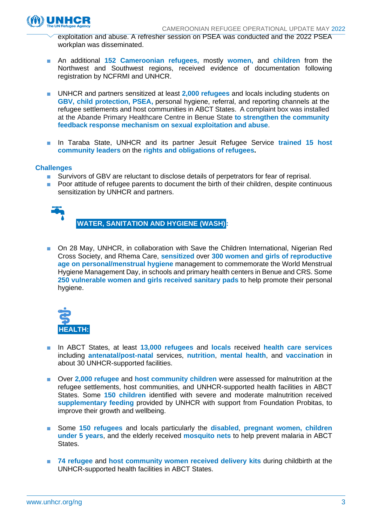exploitation and abuse. A refresher session on PSEA was conducted and the 2022 PSEA workplan was disseminated.

- An additional **152 Cameroonian refugees,** mostly **women,** and **children** from the Northwest and Southwest regions, received evidence of documentation following registration by NCFRMI and UNHCR.
- UNHCR and partners sensitized at least 2,000 **refugees** and locals including students on **GBV, child protection, PSEA,** personal hygiene, referral, and reporting channels at the refugee settlements and host communities in ABCT States. A complaint box was installed at the Abande Primary Healthcare Centre in Benue State **to strengthen the community feedback response mechanism on sexual exploitation and abuse**.
- In Taraba State, UNHCR and its partner Jesuit Refugee Service trained 15 host **community leaders** on the **rights and obligations of refugees.**

#### **Challenges**

- Survivors of GBV are reluctant to disclose details of perpetrators for fear of reprisal.
- Poor attitude of refugee parents to document the birth of their children, despite continuous sensitization by UNHCR and partners.



**WATER, SANITATION AND HYGIENE (WASH):**

■ On 28 May, UNHCR, in collaboration with Save the Children International, Nigerian Red Cross Society, and Rhema Care, **sensitized** over **300 women and girls of reproductive age on personal/menstrual hygiene** management to commemorate the World Menstrual Hygiene Management Day, in schools and primary health centers in Benue and CRS. Some **250 vulnerable women and girls received sanitary pads** to help promote their personal hygiene.



- In ABCT States, at least **13,000 refugees** and **locals** received **health care services** including **antenatal/post-natal** services, **nutrition**, **mental health**, and **vaccinatio**n in about 30 UNHCR-supported facilities.
- Over 2,000 refugee and **host community children** were assessed for malnutrition at the refugee settlements, host communities, and UNHCR-supported health facilities in ABCT States. Some **150 children** identified with severe and moderate malnutrition received **supplementary feeding** provided by UNHCR with support from Foundation Probitas, to improve their growth and wellbeing.
- Some **150 refugees** and locals particularly the **disabled**, **pregnant women, children under 5 years**, and the elderly received **mosquito nets** to help prevent malaria in ABCT States.
- **74 refugee and host community women received delivery kits during childbirth at the** UNHCR-supported health facilities in ABCT States.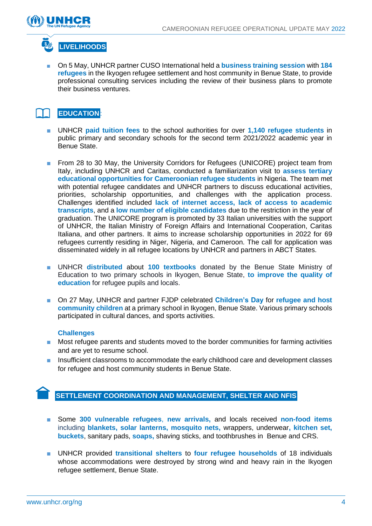



■ On 5 May, UNHCR partner CUSO International held a **business training session** with 184 **refugees** in the Ikyogen refugee settlement and host community in Benue State, to provide professional consulting services including the review of their business plans to promote their business ventures.

### **EDUCATION**:

- UNHCR **paid tuition fees** to the school authorities for over **1,140 refugee students** in public primary and secondary schools for the second term 2021/2022 academic year in Benue State.
- From 28 to 30 May, the University Corridors for Refugees (UNICORE) project team from Italy, including UNHCR and Caritas, conducted a familiarization visit to **assess tertiary educational opportunities for Cameroonian refugee students** in Nigeria. The team met with potential refugee candidates and UNHCR partners to discuss educational activities, priorities, scholarship opportunities, and challenges with the application process. Challenges identified included **lack of internet access, lack of access to academic transcripts**, and a **low number of eligible candidates** due to the restriction in the year of graduation. The UNICORE program is promoted by 33 Italian universities with the support of UNHCR, the Italian Ministry of Foreign Affairs and International Cooperation, Caritas Italiana, and other partners. It aims to increase scholarship opportunities in 2022 for 69 refugees currently residing in Niger, Nigeria, and Cameroon. The call for application was disseminated widely in all refugee locations by UNHCR and partners in ABCT States.
- UNHCR **distributed** about **100 textbooks** donated by the Benue State Ministry of Education to two primary schools in Ikyogen, Benue State, **to improve the quality of education** for refugee pupils and locals.
- On 27 May, UNHCR and partner FJDP celebrated **Children's Day** for *refugee* and host **community children** at a primary school in Ikyogen, Benue State. Various primary schools participated in cultural dances, and sports activities.

#### **Challenges**

- Most refugee parents and students moved to the border communities for farming activities and are yet to resume school.
- Insufficient classrooms to accommodate the early childhood care and development classes for refugee and host community students in Benue State.

#### **SETTLEMENT COORDINATION AND MANAGEMENT, SHELTER AND NFIS**

- Some **300 vulnerable refugees**, **new arrivals,** and locals received **non-food items**  including **blankets, solar lanterns, mosquito nets,** wrappers, underwear**, kitchen set, buckets**, sanitary pads, **soaps,** shaving sticks, and toothbrushes in Benue and CRS.
- UNHCR provided **transitional shelters** to **four refugee households** of 18 individuals whose accommodations were destroyed by strong wind and heavy rain in the Ikyogen refugee settlement, Benue State.